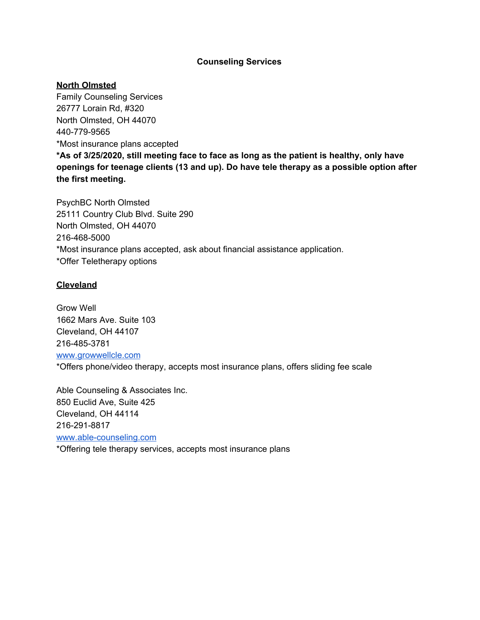#### **Counseling Services**

#### **North Olmsted**

Family Counseling Services 26777 Lorain Rd, #320 North Olmsted, OH 44070 440-779-9565 \*Most insurance plans accepted **\*As of 3/25/2020, still meeting face to face as long as the patient is healthy, only have openings for teenage clients (13 and up). Do have tele therapy as a possible option after the first meeting.**

PsychBC North Olmsted 25111 Country Club Blvd. Suite 290 North Olmsted, OH 44070 216-468-5000 \*Most insurance plans accepted, ask about financial assistance application. \*Offer Teletherapy options

## **Cleveland**

Grow Well 1662 Mars Ave. Suite 103 Cleveland, OH 44107 216-485-3781 [www.growwellcle.com](http://www.growwellcle.com/) \*Offers phone/video therapy, accepts most insurance plans, offers sliding fee scale

Able Counseling & Associates Inc. 850 Euclid Ave, Suite 425 Cleveland, OH 44114 216-291-8817 [www.able-counseling.com](http://www.able-counseling.com/) \*Offering tele therapy services, accepts most insurance plans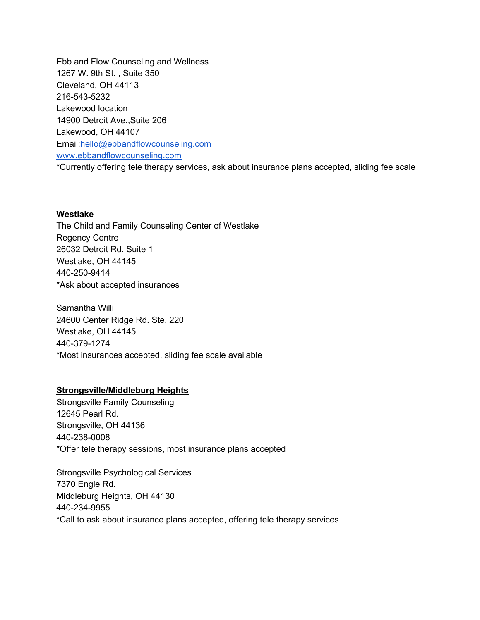Ebb and Flow Counseling and Wellness 1267 W. 9th St. , Suite 350 Cleveland, OH 44113 216-543-5232 Lakewood location 14900 Detroit Ave.,Suite 206 Lakewood, OH 44107 Email:[hello@ebbandflowcounseling.com](mailto:hello@ebbandflowcounseling.com) [www.ebbandflowcounseling.com](http://www.ebbandflowcounseling.com/) \*Currently offering tele therapy services, ask about insurance plans accepted, sliding fee scale

#### **Westlake**

The Child and Family Counseling Center of Westlake Regency Centre 26032 Detroit Rd. Suite 1 Westlake, OH 44145 440-250-9414 \*Ask about accepted insurances

Samantha Willi 24600 Center Ridge Rd. Ste. 220 Westlake, OH 44145 440-379-1274 \*Most insurances accepted, sliding fee scale available

## **Strongsville/Middleburg Heights**

Strongsville Family Counseling 12645 Pearl Rd. Strongsville, OH 44136 440-238-0008 \*Offer tele therapy sessions, most insurance plans accepted

Strongsville Psychological Services 7370 Engle Rd. Middleburg Heights, OH 44130 440-234-9955 \*Call to ask about insurance plans accepted, offering tele therapy services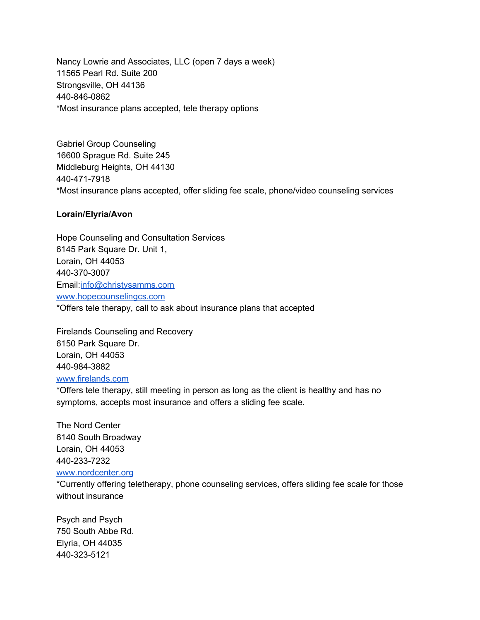Nancy Lowrie and Associates, LLC (open 7 days a week) 11565 Pearl Rd. Suite 200 Strongsville, OH 44136 440-846-0862 \*Most insurance plans accepted, tele therapy options

Gabriel Group Counseling 16600 Sprague Rd. Suite 245 Middleburg Heights, OH 44130 440-471-7918 \*Most insurance plans accepted, offer sliding fee scale, phone/video counseling services

## **Lorain/Elyria/Avon**

Hope Counseling and Consultation Services 6145 Park Square Dr. Unit 1, Lorain, OH 44053 440-370-3007 Email:[info@christysamms.com](mailto:info@christysamms.com) [www.hopecounselingcs.com](http://www.hopecounselingcs.com/) \*Offers tele therapy, call to ask about insurance plans that accepted

Firelands Counseling and Recovery 6150 Park Square Dr. Lorain, OH 44053 440-984-3882 [www.firelands.com](http://www.firelands.com/)

\*Offers tele therapy, still meeting in person as long as the client is healthy and has no symptoms, accepts most insurance and offers a sliding fee scale.

The Nord Center 6140 South Broadway Lorain, OH 44053 440-233-7232 [www.nordcenter.org](http://www.nordcenter.org/)

\*Currently offering teletherapy, phone counseling services, offers sliding fee scale for those without insurance

Psych and Psych 750 South Abbe Rd. Elyria, OH 44035 440-323-5121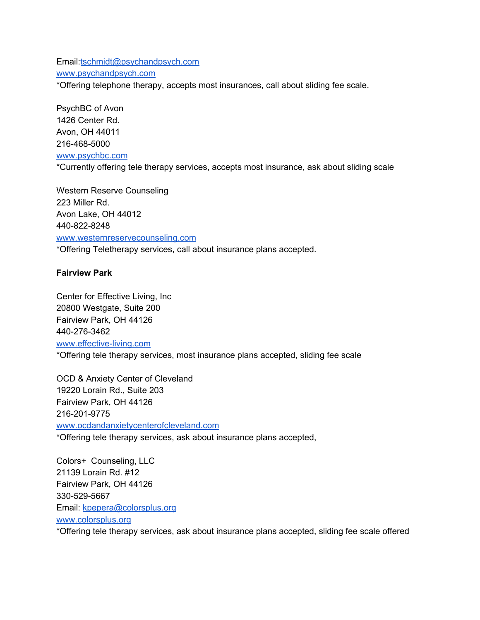Email:[tschmidt@psychandpsych.com](mailto:tschmidt@psychandpsych.com) [www.psychandpsych.com](http://www.psychandpsych.com/)

\*Offering telephone therapy, accepts most insurances, call about sliding fee scale.

PsychBC of Avon 1426 Center Rd. Avon, OH 44011 216-468-5000 [www.psychbc.com](http://www.psychbc.com/) \*Currently offering tele therapy services, accepts most insurance, ask about sliding scale

Western Reserve Counseling 223 Miller Rd. Avon Lake, OH 44012 440-822-8248 [www.westernreservecounseling.com](http://www.westernreservecounseling.com/) \*Offering Teletherapy services, call about insurance plans accepted.

## **Fairview Park**

Center for Effective Living, Inc 20800 Westgate, Suite 200 Fairview Park, OH 44126 440-276-3462 [www.effective-living.com](http://www.effective-living.com/) \*Offering tele therapy services, most insurance plans accepted, sliding fee scale

OCD & Anxiety Center of Cleveland 19220 Lorain Rd., Suite 203 Fairview Park, OH 44126 216-201-9775 [www.ocdandanxietycenterofcleveland.com](http://www.ocdandanxietycenterofcleveland.com/) \*Offering tele therapy services, ask about insurance plans accepted,

Colors+ Counseling, LLC 21139 Lorain Rd. #12 Fairview Park, OH 44126 330-529-5667 Email: [kpepera@colorsplus.org](mailto:kpepera@colorsplus.org) [www.colorsplus.org](http://www.colorsplus.org/)

\*Offering tele therapy services, ask about insurance plans accepted, sliding fee scale offered